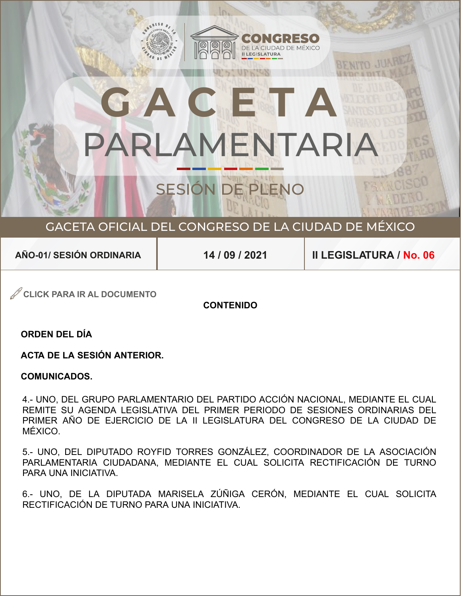# SESIÓN DE PLENO **GACETA**  PARLAMENTARIA

 $c_3$ 

C

ON GRESO DE

<sup>I</sup> <sup>U</sup> <sup>D</sup> <sup>A</sup> <sup>D</sup> <sup>D</sup> <sup>E</sup> <sup>M</sup> <sup>É</sup> <sup>X</sup> <sup>I</sup> <sup>C</sup> <sup>O</sup>

## GACETA OFICIAL DEL CONGRESO DE LA CIUDAD DE MÉXICO

**AÑO-01/ SESIÓN ORDINARIA**

**14 / 09 / 2021 II LEGISLATURA / No. 06**

**CLICK PARA IR AL DOCUMENTO**

**CONTENIDO**

**ORDEN DEL DÍA**

**ACTA DE LA SESIÓN ANTERIOR.**

#### **COMUNICADOS.**

4.- UNO. DEL GRUPO PARLAMENTARIO DEL PARTIDO ACCIÓN NACIONAL. MEDIANTE EL CUAL F PRIMER AÑO DE EJERCICIO DE LA II LEGISLATURA DEL CONGRESO DE LA CIUDAD DE MÉXICO. 4.- UNO, DEL GRUPO PARLAMENTARIO DEL PARTIDO ACCIÓN NACIONAL, MEDIANTE EL CUAL<br>REMITE SU AGENDA LEGISLATIVA DEL PRIMER PERIODO DE SESIONES ORDINARIAS DEL<br>PRIMER AÑO DE EJERCICIO DE LA II LEGISLATURA DEL CONGRESO DE LA CIUD REMITE SU AGENDA LEGISLATIVA DEL PRIMER PERIODO DE SESIONES ORDINARIAS DEL

 5.- UNO, DEL DIPUTADO ROYFID TORRES GONZÁLEZ, COORDINADOR DE LA ASOCIACIÓN PARLAMENTARIA CIUDADANA, MEDIANTE EL CUAL SOLICITA RECTIFICACIÓN DE TURNO  PARA UNA INICIATIVA.

 6.- UNO, DE LA DIPUTADA MARISELA ZÚÑIGA CERÓN, MEDIANTE EL CUAL SOLICITA RECTIFICACIÓN DE TURNO PARA UNA INICIATIVA.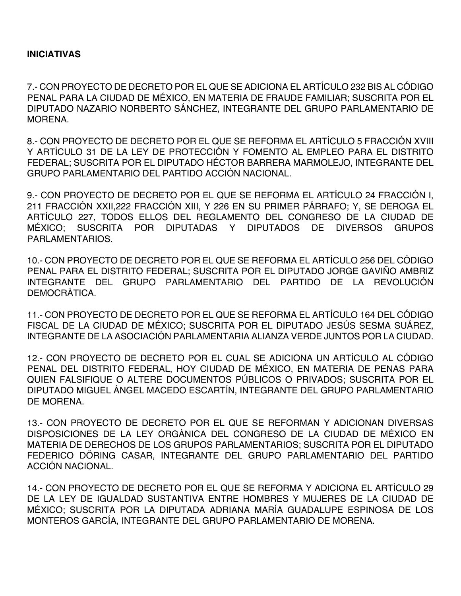#### **INICIATIVAS**

7.- CON PROYECTO DE DECRETO POR EL QUE SE ADICIONA EL ARTÍCULO 232 BIS AL CÓDIGO PENAL PARA LA CIUDAD DE MÉXICO, EN MATERIA DE FRAUDE FAMILIAR; SUSCRITA POR EL DIPUTADO NAZARIO NORBERTO SÁNCHEZ, INTEGRANTE DEL GRUPO PARLAMENTARIO DE **MORENA** 

8.- CON PROYECTO DE DECRETO POR EL QUE SE REFORMA EL ARTÍCULO 5 FRACCIÓN XVIII Y ARTÍCULO 31 DE LA LEY DE PROTECCIÓN Y FOMENTO AL EMPLEO PARA EL DISTRITO FEDERAL; SUSCRITA POR EL DIPUTADO HÉCTOR BARRERA MARMOLEJO, INTEGRANTE DEL GRUPO PARLAMENTARIO DEL PARTIDO ACCIÓN NACIONAL.

9.- CON PROYECTO DE DECRETO POR EL QUE SE REFORMA EL ARTÍCULO 24 FRACCIÓN I, 211 FRACCIÓN XXII,222 FRACCIÓN XIII, Y 226 EN SU PRIMER PÁRRAFO; Y, SE DEROGA EL ARTÍCULO 227, TODOS ELLOS DEL REGLAMENTO DEL CONGRESO DE LA CIUDAD DE MÉXICO; SUSCRITA POR DIPUTADAS Y DIPUTADOS DE DIVERSOS GRUPOS PARLAMENTARIOS.

10.- CON PROYECTO DE DECRETO POR EL QUE SE REFORMA EL ARTÍCULO 256 DEL CÓDIGO PENAL PARA EL DISTRITO FEDERAL; SUSCRITA POR EL DIPUTADO JORGE GAVIÑO AMBRIZ INTEGRANTE DEL GRUPO PARLAMENTARIO DEL PARTIDO DE LA REVOLUCIÓN DEMOCRÁTICA.

11.- CON PROYECTO DE DECRETO POR EL QUE SE REFORMA EL ARTÍCULO 164 DEL CÓDIGO FISCAL DE LA CIUDAD DE MÉXICO; SUSCRITA POR EL DIPUTADO JESÚS SESMA SUÁREZ, INTEGRANTE DE LA ASOCIACIÓN PARLAMENTARIA ALIANZA VERDE JUNTOS POR LA CIUDAD.

12.- CON PROYECTO DE DECRETO POR EL CUAL SE ADICIONA UN ARTÍCULO AL CÓDIGO PENAL DEL DISTRITO FEDERAL, HOY CIUDAD DE MÉXICO, EN MATERIA DE PENAS PARA QUIEN FALSIFIQUE O ALTERE DOCUMENTOS PÚBLICOS O PRIVADOS; SUSCRITA POR EL DIPUTADO MIGUEL ÁNGEL MACEDO ESCARTÍN, INTEGRANTE DEL GRUPO PARLAMENTARIO DE MORENA.

13.- CON PROYECTO DE DECRETO POR EL QUE SE REFORMAN Y ADICIONAN DIVERSAS DISPOSICIONES DE LA LEY ORGÁNICA DEL CONGRESO DE LA CIUDAD DE MÉXICO EN MATERIA DE DERECHOS DE LOS GRUPOS PARLAMENTARIOS; SUSCRITA POR EL DIPUTADO FEDERICO DÖRING CASAR, INTEGRANTE DEL GRUPO PARLAMENTARIO DEL PARTIDO ACCIÓN NACIONAL.

14.- CON PROYECTO DE DECRETO POR EL QUE SE REFORMA Y ADICIONA EL ARTÍCULO 29 DE LA LEY DE IGUALDAD SUSTANTIVA ENTRE HOMBRES Y MUJERES DE LA CIUDAD DE MÉXICO; SUSCRITA POR LA DIPUTADA ADRIANA MARÍA GUADALUPE ESPINOSA DE LOS MONTEROS GARCÍA, INTEGRANTE DEL GRUPO PARLAMENTARIO DE MORENA.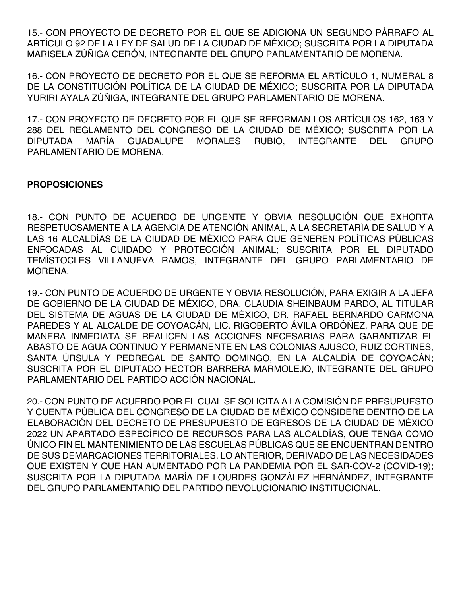15.- CON PROYECTO DE DECRETO POR EL QUE SE ADICIONA UN SEGUNDO PÁRRAFO AL ARTÍCULO 92 DE LA LEY DE SALUD DE LA CIUDAD DE MÉXICO; SUSCRITA POR LA DIPUTADA MARISELA ZÚÑIGA CERÓN, INTEGRANTE DEL GRUPO PARLAMENTARIO DE MORENA.

16.- CON PROYECTO DE DECRETO POR EL QUE SE REFORMA EL ARTÍCULO 1, NUMERAL 8 DE LA CONSTITUCIÓN POLÍTICA DE LA CIUDAD DE MÉXICO; SUSCRITA POR LA DIPUTADA YURIRI AYALA ZÚÑIGA, INTEGRANTE DEL GRUPO PARLAMENTARIO DE MORENA.

17.- CON PROYECTO DE DECRETO POR EL QUE SE REFORMAN LOS ARTÍCULOS 162, 163 Y 288 DEL REGLAMENTO DEL CONGRESO DE LA CIUDAD DE MÉXICO; SUSCRITA POR LA DIPUTADA MARÍA GUADALUPE MORALES RUBIO, INTEGRANTE DEL GRUPO PARLAMENTARIO DE MORENA.

#### **PROPOSICIONES**

18.- CON PUNTO DE ACUERDO DE URGENTE Y OBVIA RESOLUCIÓN QUE EXHORTA RESPETUOSAMENTE A LA AGENCIA DE ATENCIÓN ANIMAL, A LA SECRETARÍA DE SALUD Y A LAS 16 ALCALDÍAS DE LA CIUDAD DE MÉXICO PARA QUE GENEREN POLÍTICAS PÚBLICAS ENFOCADAS AL CUIDADO Y PROTECCIÓN ANIMAL; SUSCRITA POR EL DIPUTADO TEMÍSTOCLES VILLANUEVA RAMOS, INTEGRANTE DEL GRUPO PARLAMENTARIO DE MORENA.

19.- CON PUNTO DE ACUERDO DE URGENTE Y OBVIA RESOLUCIÓN, PARA EXIGIR A LA JEFA DE GOBIERNO DE LA CIUDAD DE MÉXICO, DRA. CLAUDIA SHEINBAUM PARDO, AL TITULAR DEL SISTEMA DE AGUAS DE LA CIUDAD DE MÉXICO, DR. RAFAEL BERNARDO CARMONA PAREDES Y AL ALCALDE DE COYOACÁN, LIC. RIGOBERTO ÁVILA ORDÓÑEZ, PARA QUE DE MANERA INMEDIATA SE REALICEN LAS ACCIONES NECESARIAS PARA GARANTIZAR EL ABASTO DE AGUA CONTINUO Y PERMANENTE EN LAS COLONIAS AJUSCO, RUIZ CORTINES, SANTA ÚRSULA Y PEDREGAL DE SANTO DOMINGO, EN LA ALCALDÍA DE COYOACÁN; SUSCRITA POR EL DIPUTADO HÉCTOR BARRERA MARMOLEJO, INTEGRANTE DEL GRUPO PARLAMENTARIO DEL PARTIDO ACCIÓN NACIONAL.

20.- CON PUNTO DE ACUERDO POR EL CUAL SE SOLICITA A LA COMISIÓN DE PRESUPUESTO Y CUENTA PÚBLICA DEL CONGRESO DE LA CIUDAD DE MÉXICO CONSIDERE DENTRO DE LA ELABORACIÓN DEL DECRETO DE PRESUPUESTO DE EGRESOS DE LA CIUDAD DE MÉXICO 2022 UN APARTADO ESPECÍFICO DE RECURSOS PARA LAS ALCALDÍAS, QUE TENGA COMO ÚNICO FIN EL MANTENIMIENTO DE LAS ESCUELAS PÚBLICAS QUE SE ENCUENTRAN DENTRO DE SUS DEMARCACIONES TERRITORIALES, LO ANTERIOR, DERIVADO DE LAS NECESIDADES QUE EXISTEN Y QUE HAN AUMENTADO POR LA PANDEMIA POR EL SAR-COV-2 (COVID-19); SUSCRITA POR LA DIPUTADA MARÍA DE LOURDES GONZÁLEZ HERNÁNDEZ, INTEGRANTE DEL GRUPO PARLAMENTARIO DEL PARTIDO REVOLUCIONARIO INSTITUCIONAL.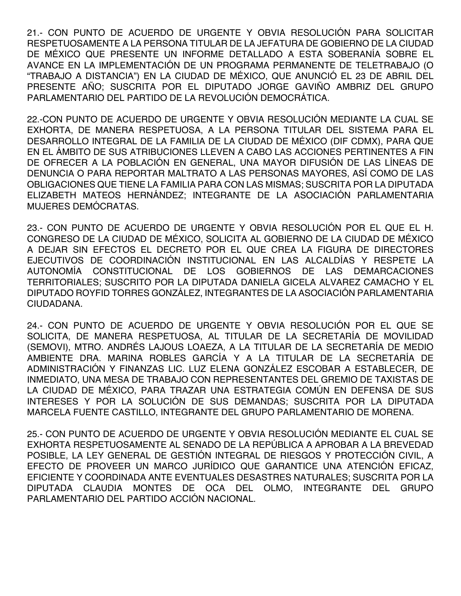21.- CON PUNTO DE ACUERDO DE URGENTE Y OBVIA RESOLUCIÓN PARA SOLICITAR RESPETUOSAMENTE A LA PERSONA TITULAR DE LA JEFATURA DE GOBIERNO DE LA CIUDAD DE MÉXICO QUE PRESENTE UN INFORME DETALLADO A ESTA SOBERANÍA SOBRE EL AVANCE EN LA IMPLEMENTACIÓN DE UN PROGRAMA PERMANENTE DE TELETRABAJO (O "TRABAJO A DISTANCIA") EN LA CIUDAD DE MÉXICO, QUE ANUNCIÓ EL 23 DE ABRIL DEL PRESENTE AÑO; SUSCRITA POR EL DIPUTADO JORGE GAVIÑO AMBRIZ DEL GRUPO PARLAMENTARIO DEL PARTIDO DE LA REVOLUCIÓN DEMOCRÁTICA.

22.-CON PUNTO DE ACUERDO DE URGENTE Y OBVIA RESOLUCIÓN MEDIANTE LA CUAL SE EXHORTA, DE MANERA RESPETUOSA, A LA PERSONA TITULAR DEL SISTEMA PARA EL DESARROLLO INTEGRAL DE LA FAMILIA DE LA CIUDAD DE MÉXICO (DIF CDMX), PARA QUE EN EL ÁMBITO DE SUS ATRIBUCIONES LLEVEN A CABO LAS ACCIONES PERTINENTES A FIN DE OFRECER A LA POBLACIÓN EN GENERAL, UNA MAYOR DIFUSIÓN DE LAS LÍNEAS DE DENUNCIA O PARA REPORTAR MALTRATO A LAS PERSONAS MAYORES, ASÍ COMO DE LAS OBLIGACIONES QUE TIENE LA FAMILIA PARA CON LAS MISMAS; SUSCRITA POR LA DIPUTADA ELIZABETH MATEOS HERNÁNDEZ; INTEGRANTE DE LA ASOCIACIÓN PARLAMENTARIA MUJERES DEMÓCRATAS.

23.- CON PUNTO DE ACUERDO DE URGENTE Y OBVIA RESOLUCIÓN POR EL QUE EL H. CONGRESO DE LA CIUDAD DE MÉXICO, SOLICITA AL GOBIERNO DE LA CIUDAD DE MÉXICO A DEJAR SIN EFECTOS EL DECRETO POR EL QUE CREA LA FIGURA DE DIRECTORES EJECUTIVOS DE COORDINACIÓN INSTITUCIONAL EN LAS ALCALDÍAS Y RESPETE LA AUTONOMÍA CONSTITUCIONAL DE LOS GOBIERNOS DE LAS DEMARCACIONES TERRITORIALES; SUSCRITO POR LA DIPUTADA DANIELA GICELA ALVAREZ CAMACHO Y EL DIPUTADO ROYFID TORRES GONZÁLEZ, INTEGRANTES DE LA ASOCIACIÓN PARLAMENTARIA CIUDADANA.

24.- CON PUNTO DE ACUERDO DE URGENTE Y OBVIA RESOLUCIÓN POR EL QUE SE SOLICITA, DE MANERA RESPETUOSA, AL TITULAR DE LA SECRETARÍA DE MOVILIDAD (SEMOVI), MTRO. ANDRÉS LAJOUS LOAEZA, A LA TITULAR DE LA SECRETARÍA DE MEDIO AMBIENTE DRA. MARINA ROBLES GARCÍA Y A LA TITULAR DE LA SECRETARÍA DE ADMINISTRACIÓN Y FINANZAS LIC. LUZ ELENA GONZÁLEZ ESCOBAR A ESTABLECER, DE INMEDIATO, UNA MESA DE TRABAJO CON REPRESENTANTES DEL GREMIO DE TAXISTAS DE LA CIUDAD DE MÉXICO, PARA TRAZAR UNA ESTRATEGIA COMÚN EN DEFENSA DE SUS INTERESES Y POR LA SOLUCIÓN DE SUS DEMANDAS; SUSCRITA POR LA DIPUTADA MARCELA FUENTE CASTILLO, INTEGRANTE DEL GRUPO PARLAMENTARIO DE MORENA.

25.- CON PUNTO DE ACUERDO DE URGENTE Y OBVIA RESOLUCIÓN MEDIANTE EL CUAL SE EXHORTA RESPETUOSAMENTE AL SENADO DE LA REPÚBLICA A APROBAR A LA BREVEDAD POSIBLE, LA LEY GENERAL DE GESTIÓN INTEGRAL DE RIESGOS Y PROTECCIÓN CIVIL, A EFECTO DE PROVEER UN MARCO JURÍDICO QUE GARANTICE UNA ATENCIÓN EFICAZ, EFICIENTE Y COORDINADA ANTE EVENTUALES DESASTRES NATURALES; SUSCRITA POR LA DIPUTADA CLAUDIA MONTES DE OCA DEL OLMO, INTEGRANTE DEL GRUPO PARLAMENTARIO DEL PARTIDO ACCIÓN NACIONAL.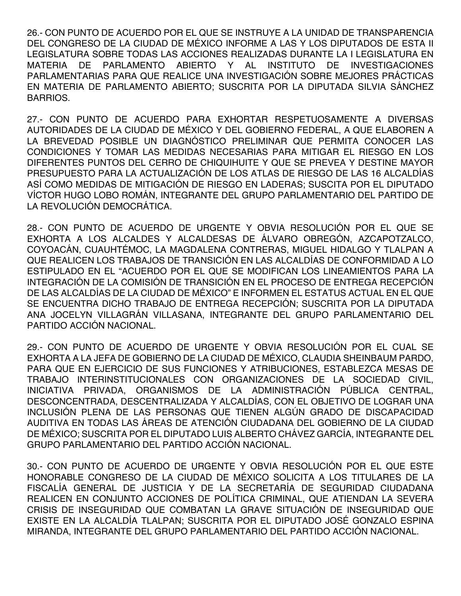26.- CON PUNTO DE ACUERDO POR EL QUE SE INSTRUYE A LA UNIDAD DE TRANSPARENCIA DEL CONGRESO DE LA CIUDAD DE MÉXICO INFORME A LAS Y LOS DIPUTADOS DE ESTA II LEGISLATURA SOBRE TODAS LAS ACCIONES REALIZADAS DURANTE LA I LEGISLATURA EN MATERIA DE PARLAMENTO ABIERTO Y AL INSTITUTO DE INVESTIGACIONES PARLAMENTARIAS PARA QUE REALICE UNA INVESTIGACIÓN SOBRE MEJORES PRÁCTICAS EN MATERIA DE PARLAMENTO ABIERTO; SUSCRITA POR LA DIPUTADA SILVIA SÁNCHEZ BARRIOS.

27.- CON PUNTO DE ACUERDO PARA EXHORTAR RESPETUOSAMENTE A DIVERSAS AUTORIDADES DE LA CIUDAD DE MÉXICO Y DEL GOBIERNO FEDERAL, A QUE ELABOREN A LA BREVEDAD POSIBLE UN DIAGNÓSTICO PRELIMINAR QUE PERMITA CONOCER LAS CONDICIONES Y TOMAR LAS MEDIDAS NECESARIAS PARA MITIGAR EL RIESGO EN LOS DIFERENTES PUNTOS DEL CERRO DE CHIQUIHUITE Y QUE SE PREVEA Y DESTINE MAYOR PRESUPUESTO PARA LA ACTUALIZACIÓN DE LOS ATLAS DE RIESGO DE LAS 16 ALCALDÍAS ASÍ COMO MEDIDAS DE MITIGACIÓN DE RIESGO EN LADERAS; SUSCITA POR EL DIPUTADO VÍCTOR HUGO LOBO ROMÁN, INTEGRANTE DEL GRUPO PARLAMENTARIO DEL PARTIDO DE LA REVOLUCIÓN DEMOCRÁTICA.

28.- CON PUNTO DE ACUERDO DE URGENTE Y OBVIA RESOLUCIÓN POR EL QUE SE EXHORTA A LOS ALCALDES Y ALCALDESAS DE ÁLVARO OBREGÓN, AZCAPOTZALCO, COYOACÁN, CUAUHTÉMOC, LA MAGDALENA CONTRERAS, MIGUEL HIDALGO Y TLALPAN A QUE REALICEN LOS TRABAJOS DE TRANSICIÓN EN LAS ALCALDÍAS DE CONFORMIDAD A LO ESTIPULADO EN EL "ACUERDO POR EL QUE SE MODIFICAN LOS LINEAMIENTOS PARA LA INTEGRACIÓN DE LA COMISIÓN DE TRANSICIÓN EN EL PROCESO DE ENTREGA RECEPCIÓN DE LAS ALCALDÍAS DE LA CIUDAD DE MÉXICO" E INFORMEN EL ESTATUS ACTUAL EN EL QUE SE ENCUENTRA DICHO TRABAJO DE ENTREGA RECEPCIÓN; SUSCRITA POR LA DIPUTADA ANA JOCELYN VILLAGRÁN VILLASANA, INTEGRANTE DEL GRUPO PARLAMENTARIO DEL PARTIDO ACCIÓN NACIONAL.

29.- CON PUNTO DE ACUERDO DE URGENTE Y OBVIA RESOLUCIÓN POR EL CUAL SE EXHORTA A LA JEFA DE GOBIERNO DE LA CIUDAD DE MÉXICO, CLAUDIA SHEINBAUM PARDO, PARA QUE EN EJERCICIO DE SUS FUNCIONES Y ATRIBUCIONES, ESTABLEZCA MESAS DE TRABAJO INTERINSTITUCIONALES CON ORGANIZACIONES DE LA SOCIEDAD CIVIL, INICIATIVA PRIVADA, ORGANISMOS DE LA ADMINISTRACIÓN PÚBLICA CENTRAL, DESCONCENTRADA, DESCENTRALIZADA Y ALCALDÍAS, CON EL OBJETIVO DE LOGRAR UNA INCLUSIÓN PLENA DE LAS PERSONAS QUE TIENEN ALGÚN GRADO DE DISCAPACIDAD AUDITIVA EN TODAS LAS ÁREAS DE ATENCIÓN CIUDADANA DEL GOBIERNO DE LA CIUDAD DE MÉXICO; SUSCRITA POR EL DIPUTADO LUIS ALBERTO CHÁVEZ GARCÍA, INTEGRANTE DEL GRUPO PARLAMENTARIO DEL PARTIDO ACCIÓN NACIONAL.

30.- CON PUNTO DE ACUERDO DE URGENTE Y OBVIA RESOLUCIÓN POR EL QUE ESTE HONORABLE CONGRESO DE LA CIUDAD DE MÉXICO SOLICITA A LOS TITULARES DE LA FISCALÍA GENERAL DE JUSTICIA Y DE LA SECRETARÍA DE SEGURIDAD CIUDADANA REALICEN EN CONJUNTO ACCIONES DE POLÍTICA CRIMINAL, QUE ATIENDAN LA SEVERA CRISIS DE INSEGURIDAD QUE COMBATAN LA GRAVE SITUACIÓN DE INSEGURIDAD QUE EXISTE EN LA ALCALDÍA TLALPAN; SUSCRITA POR EL DIPUTADO JOSÉ GONZALO ESPINA MIRANDA, INTEGRANTE DEL GRUPO PARLAMENTARIO DEL PARTIDO ACCIÓN NACIONAL.